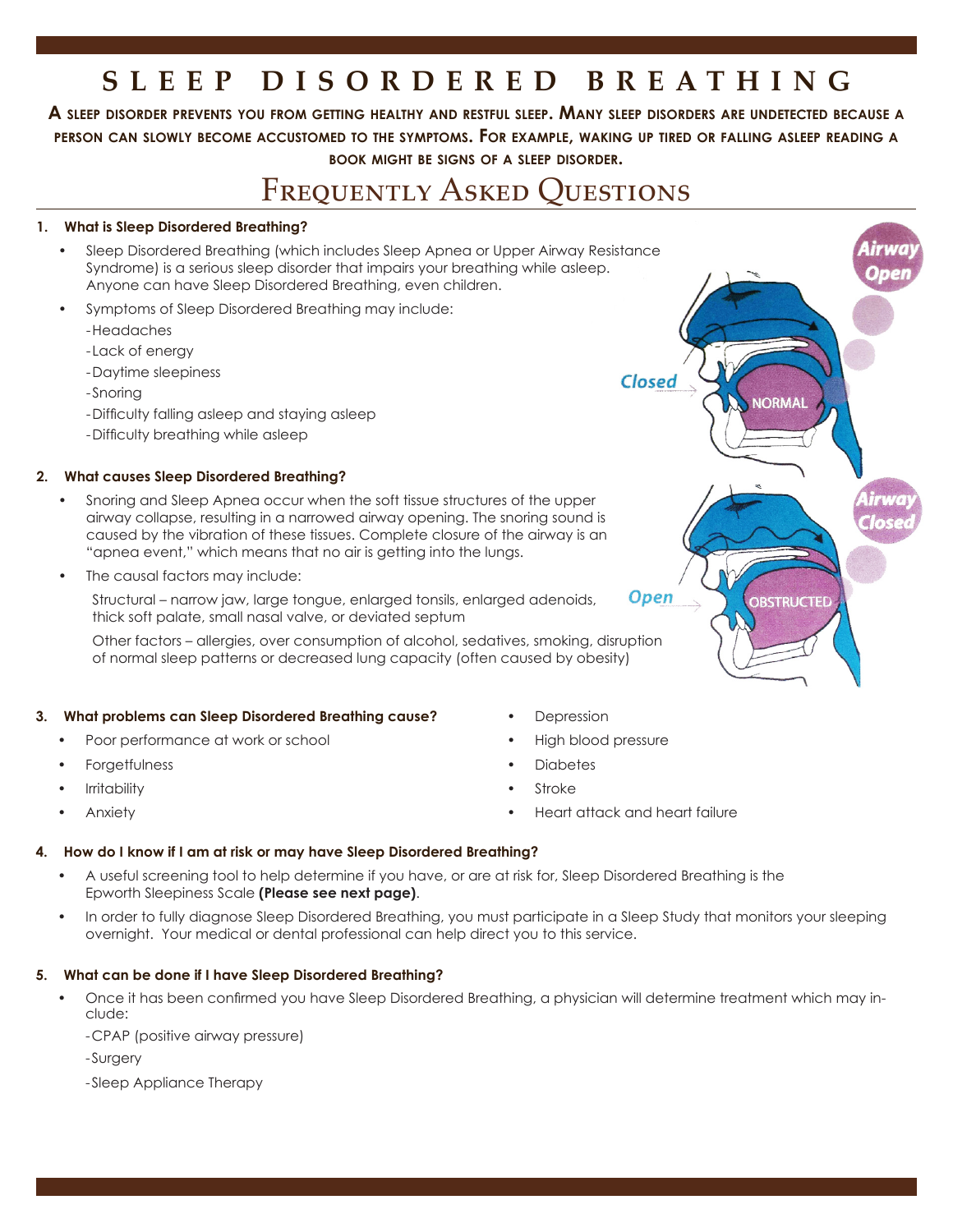# **SLEEP DISORDERED BREATHING**

A SLEEP DISORDER PREVENTS YOU FROM GETTING HEALTHY AND RESTFUL SLEEP. MANY SLEEP DISORDERS ARE UNDETECTED BECAUSE A **person cAn slowly become Accustomed to the symptoms. for exAmple, wAking up tired or fAlling Asleep reAding <sup>A</sup> book might be signs of <sup>A</sup> sleep disorder.**

# FREQUENTLY ASKED OUESTIONS

## **1. What is Sleep Disordered Breathing?**

- Sleep Disordered Breathing (which includes Sleep Apnea or Upper Airway Resistance Syndrome) is a serious sleep disorder that impairs your breathing while asleep. Anyone can have Sleep Disordered Breathing, even children.
- Symptoms of Sleep Disordered Breathing may include:
	- - Headaches
	- Lack of energy
	- Daytime sleepiness
	- -Snoring
	- Difficulty falling asleep and staying asleep
	- Difficulty breathing while asleep

## **2. What causes Sleep Disordered Breathing?**

- Snoring and Sleep Apnea occur when the soft tissue structures of the upper airway collapse, resulting in a narrowed airway opening. The snoring sound is caused by the vibration of these tissues. Complete closure of the airway is an "apnea event," which means that no air is getting into the lungs.
- The causal factors may include:

 Structural – narrow jaw, large tongue, enlarged tonsils, enlarged adenoids, thick soft palate, small nasal valve, or deviated septum

 Other factors – allergies, over consumption of alcohol, sedatives, smoking, disruption of normal sleep patterns or decreased lung capacity (often caused by obesity)

### **3. What problems can Sleep Disordered Breathing cause?**

- Poor performance at work or school
- **Forgetfulness**
- **Irritability**
- **Anxiety**
- **Depression**
- High blood pressure
- **Diabetes**
- **Stroke**
- Heart attack and heart failure

### **4. How do I know if I am at risk or may have Sleep Disordered Breathing?**

- A useful screening tool to help determine if you have, or are at risk for, Sleep Disordered Breathing is the Epworth Sleepiness Scale **(Please see next page)**.
- In order to fully diagnose Sleep Disordered Breathing, you must participate in a Sleep Study that monitors your sleeping overnight. Your medical or dental professional can help direct you to this service.

# **5. What can be done if I have Sleep Disordered Breathing?**

- Once it has been confirmed you have Sleep Disordered Breathing, a physician will determine treatment which may include:
	- CPAP (positive airway pressure)
	- -Surgery
	- -Sleep Appliance Therapy